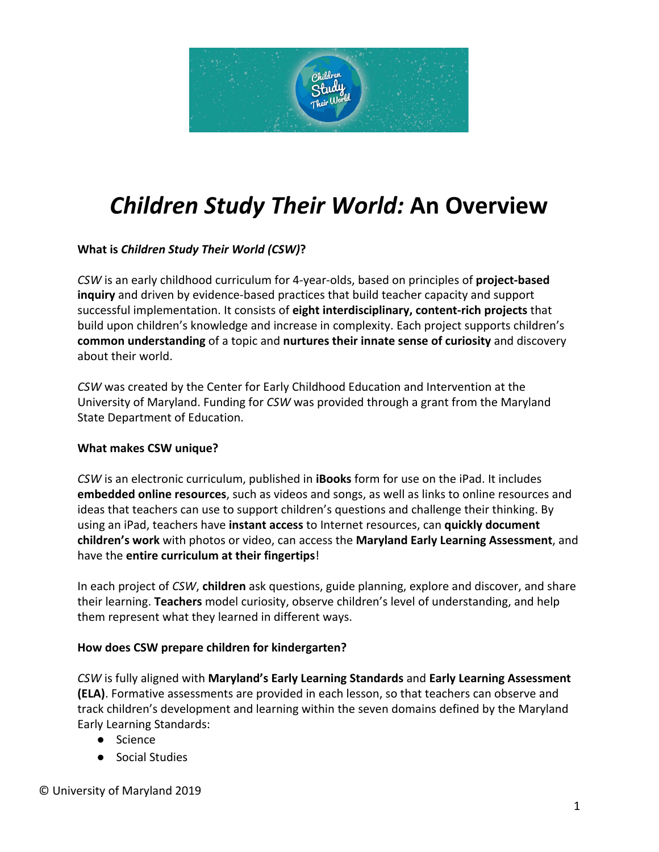

# *Children Study Their World:* **An Overview**

# **What is** *Children Study Their World (CSW)***?**

*CSW* is an early childhood curriculum for 4-year-olds, based on principles of **project-based inquiry** and driven by evidence-based practices that build teacher capacity and support successful implementation. It consists of **eight interdisciplinary, content-rich projects** that build upon children's knowledge and increase in complexity. Each project supports children's **common understanding** of a topic and **nurtures their innate sense of curiosity** and discovery about their world.

*CSW* was created by the Center for Early Childhood Education and Intervention at the University of Maryland. Funding for *CSW* was provided through a grant from the Maryland State Department of Education.

## **What makes CSW unique?**

*CSW* is an electronic curriculum, published in **iBooks** form for use on the iPad. It includes **embedded online resources**, such as videos and songs, as well as links to online resources and ideas that teachers can use to support children's questions and challenge their thinking. By using an iPad, teachers have **instant access** to Internet resources, can **quickly document children's work** with photos or video, can access the **Maryland Early Learning Assessment**, and have the **entire curriculum at their fingertips**!

In each project of *CSW*, **children** ask questions, guide planning, explore and discover, and share their learning. **Teachers** model curiosity, observe children's level of understanding, and help them represent what they learned in different ways.

## **How does CSW prepare children for kindergarten?**

*CSW* is fully aligned with **Maryland's Early Learning Standards** and **Early Learning Assessment (ELA)**. Formative assessments are provided in each lesson, so that teachers can observe and track children's development and learning within the seven domains defined by the Maryland Early Learning Standards:

- Science
- Social Studies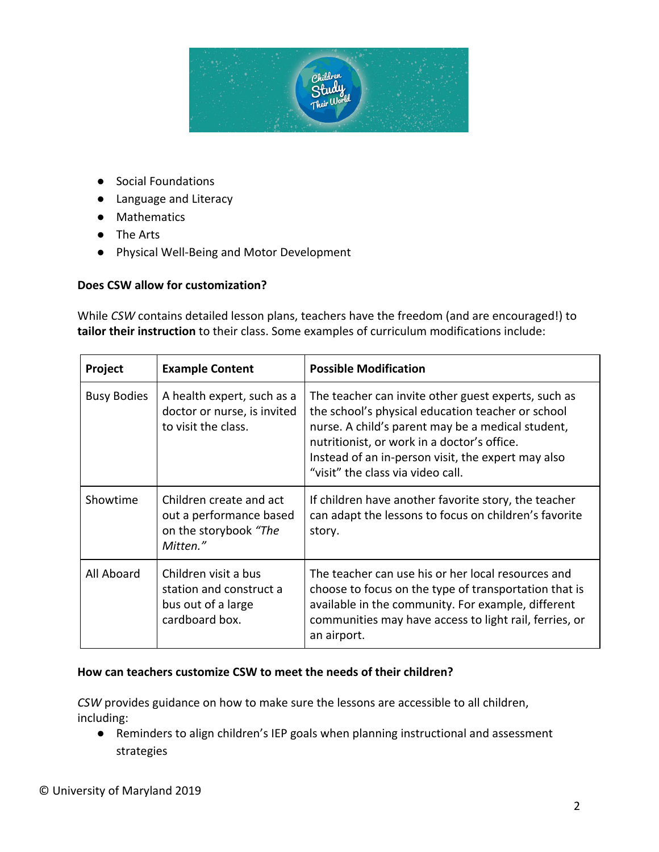

- Social Foundations
- Language and Literacy
- Mathematics
- The Arts
- Physical Well-Being and Motor Development

#### **Does CSW allow for customization?**

While *CSW* contains detailed lesson plans, teachers have the freedom (and are encouraged!) to **tailor their instruction** to their class. Some examples of curriculum modifications include:

| Project            | <b>Example Content</b>                                                                  | <b>Possible Modification</b>                                                                                                                                                                                                                                                                            |
|--------------------|-----------------------------------------------------------------------------------------|---------------------------------------------------------------------------------------------------------------------------------------------------------------------------------------------------------------------------------------------------------------------------------------------------------|
| <b>Busy Bodies</b> | A health expert, such as a<br>doctor or nurse, is invited<br>to visit the class.        | The teacher can invite other guest experts, such as<br>the school's physical education teacher or school<br>nurse. A child's parent may be a medical student,<br>nutritionist, or work in a doctor's office.<br>Instead of an in-person visit, the expert may also<br>"visit" the class via video call. |
| Showtime           | Children create and act<br>out a performance based<br>on the storybook "The<br>Mitten." | If children have another favorite story, the teacher<br>can adapt the lessons to focus on children's favorite<br>story.                                                                                                                                                                                 |
| All Aboard         | Children visit a bus<br>station and construct a<br>bus out of a large<br>cardboard box. | The teacher can use his or her local resources and<br>choose to focus on the type of transportation that is<br>available in the community. For example, different<br>communities may have access to light rail, ferries, or<br>an airport.                                                              |

#### **How can teachers customize CSW to meet the needs of their children?**

*CSW* provides guidance on how to make sure the lessons are accessible to all children, including:

● Reminders to align children's IEP goals when planning instructional and assessment strategies